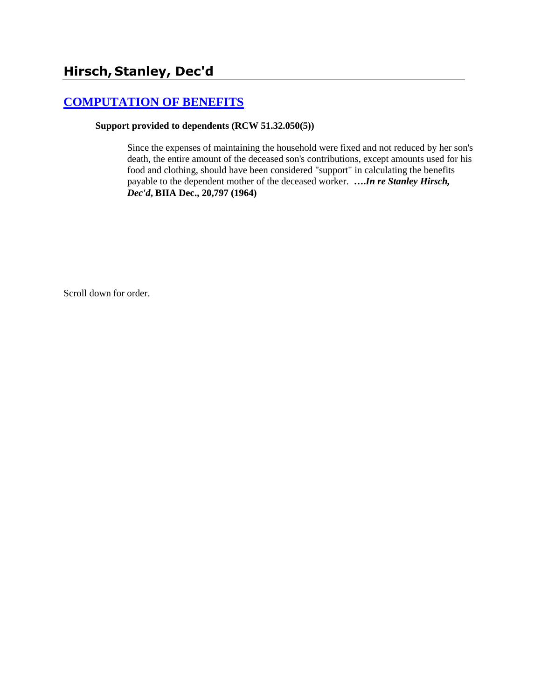# **[COMPUTATION OF BENEFITS](http://www.biia.wa.gov/SDSubjectIndex.html#COMPUTATION_OF_BENEFITS)**

#### **Support provided to dependents (RCW 51.32.050(5))**

Since the expenses of maintaining the household were fixed and not reduced by her son's death, the entire amount of the deceased son's contributions, except amounts used for his food and clothing, should have been considered "support" in calculating the benefits payable to the dependent mother of the deceased worker. **….***In re Stanley Hirsch, Dec'd***, BIIA Dec., 20,797 (1964)** 

Scroll down for order.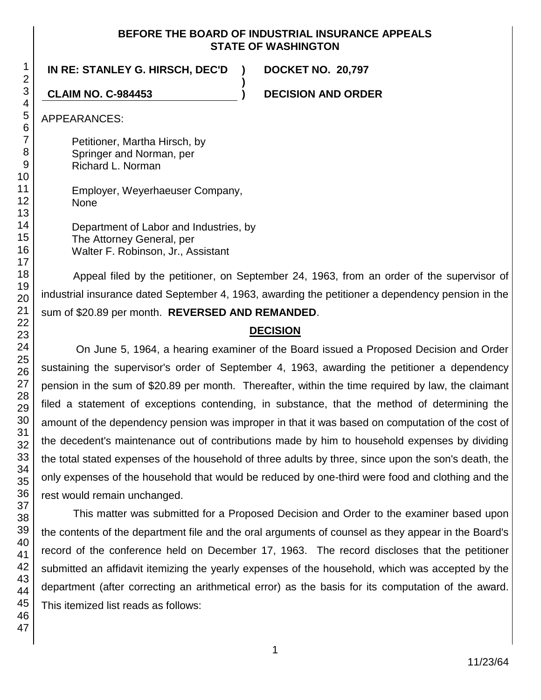## **BEFORE THE BOARD OF INDUSTRIAL INSURANCE APPEALS STATE OF WASHINGTON**

**)**

## **IN RE: STANLEY G. HIRSCH, DEC'D ) DOCKET NO. 20,797**

**CLAIM NO. C-984453 ) DECISION AND ORDER**

APPEARANCES:

Petitioner, Martha Hirsch, by Springer and Norman, per Richard L. Norman

Employer, Weyerhaeuser Company, **None** 

Department of Labor and Industries, by The Attorney General, per Walter F. Robinson, Jr., Assistant

Appeal filed by the petitioner, on September 24, 1963, from an order of the supervisor of industrial insurance dated September 4, 1963, awarding the petitioner a dependency pension in the sum of \$20.89 per month. **REVERSED AND REMANDED**.

## **DECISION**

On June 5, 1964, a hearing examiner of the Board issued a Proposed Decision and Order sustaining the supervisor's order of September 4, 1963, awarding the petitioner a dependency pension in the sum of \$20.89 per month. Thereafter, within the time required by law, the claimant filed a statement of exceptions contending, in substance, that the method of determining the amount of the dependency pension was improper in that it was based on computation of the cost of the decedent's maintenance out of contributions made by him to household expenses by dividing the total stated expenses of the household of three adults by three, since upon the son's death, the only expenses of the household that would be reduced by one-third were food and clothing and the rest would remain unchanged.

This matter was submitted for a Proposed Decision and Order to the examiner based upon the contents of the department file and the oral arguments of counsel as they appear in the Board's record of the conference held on December 17, 1963. The record discloses that the petitioner submitted an affidavit itemizing the yearly expenses of the household, which was accepted by the department (after correcting an arithmetical error) as the basis for its computation of the award. This itemized list reads as follows: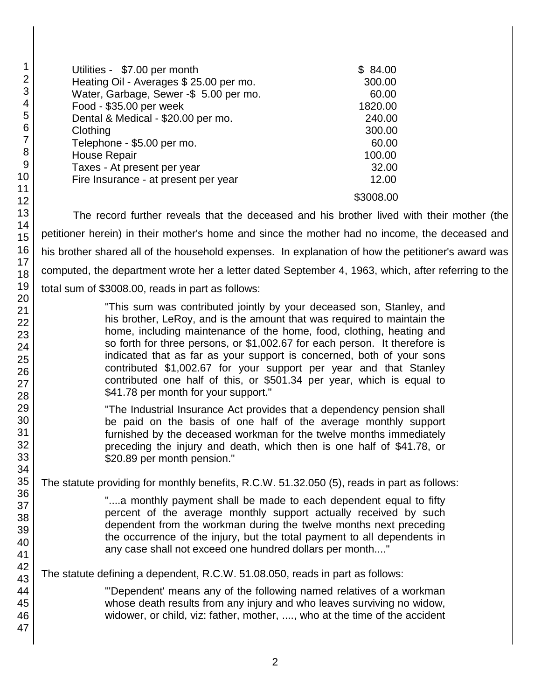| Utilities - \$7.00 per month                                       | \$84.00   |
|--------------------------------------------------------------------|-----------|
| Heating Oil - Averages \$ 25.00 per mo.                            | 300.00    |
| Water, Garbage, Sewer -\$ 5.00 per mo.                             | 60.00     |
| Food - \$35.00 per week                                            | 1820.00   |
| Dental & Medical - \$20.00 per mo.                                 | 240.00    |
| Clothing                                                           | 300.00    |
| Telephone - \$5.00 per mo.                                         | 60.00     |
| <b>House Repair</b>                                                | 100.00    |
| Taxes - At present per year                                        | 32.00     |
| Fire Insurance - at present per year                               | 12.00     |
|                                                                    | \$3008.00 |
| The record further reveals that the deceased and his brother lived |           |

with their mother (the petitioner herein) in their mother's home and since the mother had no income, the deceased and his brother shared all of the household expenses. In explanation of how the petitioner's award was computed, the department wrote her a letter dated September 4, 1963, which, after referring to the total sum of \$3008.00, reads in part as follows:

> "This sum was contributed jointly by your deceased son, Stanley, and his brother, LeRoy, and is the amount that was required to maintain the home, including maintenance of the home, food, clothing, heating and so forth for three persons, or \$1,002.67 for each person. It therefore is indicated that as far as your support is concerned, both of your sons contributed \$1,002.67 for your support per year and that Stanley contributed one half of this, or \$501.34 per year, which is equal to \$41.78 per month for your support."

> "The Industrial Insurance Act provides that a dependency pension shall be paid on the basis of one half of the average monthly support furnished by the deceased workman for the twelve months immediately preceding the injury and death, which then is one half of \$41.78, or \$20.89 per month pension."

The statute providing for monthly benefits, R.C.W. 51.32.050 (5), reads in part as follows:

"....a monthly payment shall be made to each dependent equal to fifty percent of the average monthly support actually received by such dependent from the workman during the twelve months next preceding the occurrence of the injury, but the total payment to all dependents in any case shall not exceed one hundred dollars per month...."

The statute defining a dependent, R.C.W. 51.08.050, reads in part as follows:

"'Dependent' means any of the following named relatives of a workman whose death results from any injury and who leaves surviving no widow, widower, or child, viz: father, mother, ...., who at the time of the accident

47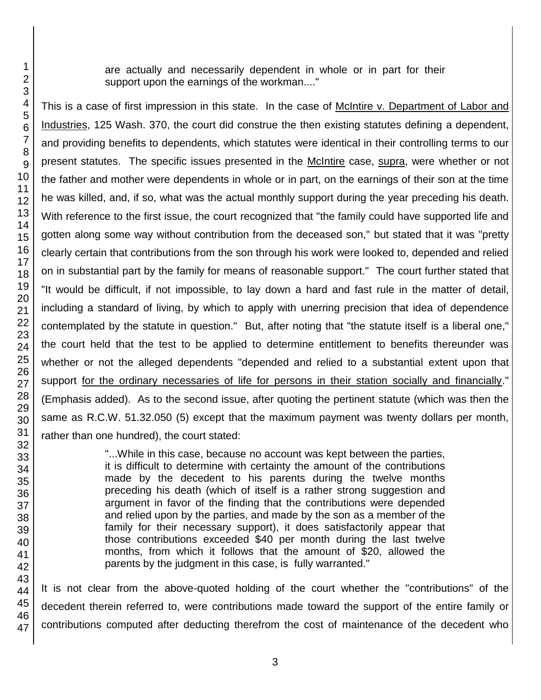are actually and necessarily dependent in whole or in part for their support upon the earnings of the workman...."

This is a case of first impression in this state. In the case of McIntire v. Department of Labor and Industries, 125 Wash. 370, the court did construe the then existing statutes defining a dependent, and providing benefits to dependents, which statutes were identical in their controlling terms to our present statutes. The specific issues presented in the McIntire case, supra, were whether or not the father and mother were dependents in whole or in part, on the earnings of their son at the time he was killed, and, if so, what was the actual monthly support during the year preceding his death. With reference to the first issue, the court recognized that "the family could have supported life and gotten along some way without contribution from the deceased son," but stated that it was "pretty clearly certain that contributions from the son through his work were looked to, depended and relied on in substantial part by the family for means of reasonable support." The court further stated that "It would be difficult, if not impossible, to lay down a hard and fast rule in the matter of detail, including a standard of living, by which to apply with unerring precision that idea of dependence contemplated by the statute in question." But, after noting that "the statute itself is a liberal one," the court held that the test to be applied to determine entitlement to benefits thereunder was whether or not the alleged dependents "depended and relied to a substantial extent upon that support for the ordinary necessaries of life for persons in their station socially and financially." (Emphasis added). As to the second issue, after quoting the pertinent statute (which was then the same as R.C.W. 51.32.050 (5) except that the maximum payment was twenty dollars per month, rather than one hundred), the court stated:

> "...While in this case, because no account was kept between the parties, it is difficult to determine with certainty the amount of the contributions made by the decedent to his parents during the twelve months preceding his death (which of itself is a rather strong suggestion and argument in favor of the finding that the contributions were depended and relied upon by the parties, and made by the son as a member of the family for their necessary support), it does satisfactorily appear that those contributions exceeded \$40 per month during the last twelve months, from which it follows that the amount of \$20, allowed the parents by the judgment in this case, is fully warranted."

It is not clear from the above-quoted holding of the court whether the "contributions" of the decedent therein referred to, were contributions made toward the support of the entire family or contributions computed after deducting therefrom the cost of maintenance of the decedent who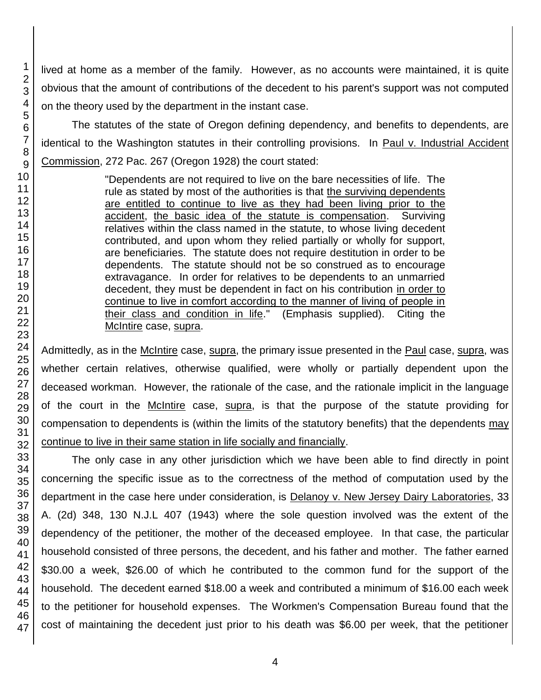lived at home as a member of the family. However, as no accounts were maintained, it is quite obvious that the amount of contributions of the decedent to his parent's support was not computed on the theory used by the department in the instant case.

The statutes of the state of Oregon defining dependency, and benefits to dependents, are identical to the Washington statutes in their controlling provisions. In Paul v. Industrial Accident Commission, 272 Pac. 267 (Oregon 1928) the court stated:

> "Dependents are not required to live on the bare necessities of life. The rule as stated by most of the authorities is that the surviving dependents are entitled to continue to live as they had been living prior to the accident, the basic idea of the statute is compensation. Surviving relatives within the class named in the statute, to whose living decedent contributed, and upon whom they relied partially or wholly for support, are beneficiaries. The statute does not require destitution in order to be dependents. The statute should not be so construed as to encourage extravagance. In order for relatives to be dependents to an unmarried decedent, they must be dependent in fact on his contribution in order to continue to live in comfort according to the manner of living of people in their class and condition in life." (Emphasis supplied). Citing the McIntire case, supra.

Admittedly, as in the McIntire case, supra, the primary issue presented in the Paul case, supra, was whether certain relatives, otherwise qualified, were wholly or partially dependent upon the deceased workman. However, the rationale of the case, and the rationale implicit in the language of the court in the McIntire case, supra, is that the purpose of the statute providing for compensation to dependents is (within the limits of the statutory benefits) that the dependents may continue to live in their same station in life socially and financially.

The only case in any other jurisdiction which we have been able to find directly in point concerning the specific issue as to the correctness of the method of computation used by the department in the case here under consideration, is Delanoy v. New Jersey Dairy Laboratories, 33 A. (2d) 348, 130 N.J.L 407 (1943) where the sole question involved was the extent of the dependency of the petitioner, the mother of the deceased employee. In that case, the particular household consisted of three persons, the decedent, and his father and mother. The father earned \$30.00 a week, \$26.00 of which he contributed to the common fund for the support of the household. The decedent earned \$18.00 a week and contributed a minimum of \$16.00 each week to the petitioner for household expenses. The Workmen's Compensation Bureau found that the cost of maintaining the decedent just prior to his death was \$6.00 per week, that the petitioner

1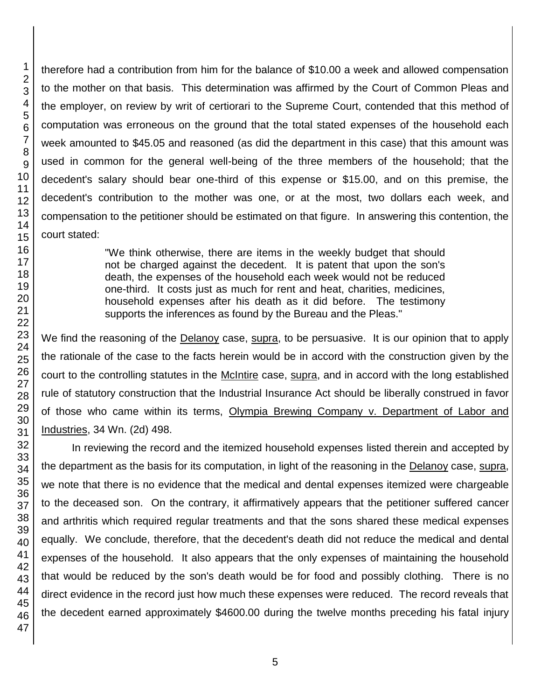therefore had a contribution from him for the balance of \$10.00 a week and allowed compensation to the mother on that basis. This determination was affirmed by the Court of Common Pleas and the employer, on review by writ of certiorari to the Supreme Court, contended that this method of computation was erroneous on the ground that the total stated expenses of the household each week amounted to \$45.05 and reasoned (as did the department in this case) that this amount was used in common for the general well-being of the three members of the household; that the decedent's salary should bear one-third of this expense or \$15.00, and on this premise, the decedent's contribution to the mother was one, or at the most, two dollars each week, and compensation to the petitioner should be estimated on that figure. In answering this contention, the court stated:

> "We think otherwise, there are items in the weekly budget that should not be charged against the decedent. It is patent that upon the son's death, the expenses of the household each week would not be reduced one-third. It costs just as much for rent and heat, charities, medicines, household expenses after his death as it did before. The testimony supports the inferences as found by the Bureau and the Pleas."

We find the reasoning of the Delanoy case, supra, to be persuasive. It is our opinion that to apply the rationale of the case to the facts herein would be in accord with the construction given by the court to the controlling statutes in the McIntire case, supra, and in accord with the long established rule of statutory construction that the Industrial Insurance Act should be liberally construed in favor of those who came within its terms, Olympia Brewing Company v. Department of Labor and Industries, 34 Wn. (2d) 498.

In reviewing the record and the itemized household expenses listed therein and accepted by the department as the basis for its computation, in light of the reasoning in the Delanoy case, supra, we note that there is no evidence that the medical and dental expenses itemized were chargeable to the deceased son. On the contrary, it affirmatively appears that the petitioner suffered cancer and arthritis which required regular treatments and that the sons shared these medical expenses equally. We conclude, therefore, that the decedent's death did not reduce the medical and dental expenses of the household. It also appears that the only expenses of maintaining the household that would be reduced by the son's death would be for food and possibly clothing. There is no direct evidence in the record just how much these expenses were reduced. The record reveals that the decedent earned approximately \$4600.00 during the twelve months preceding his fatal injury

1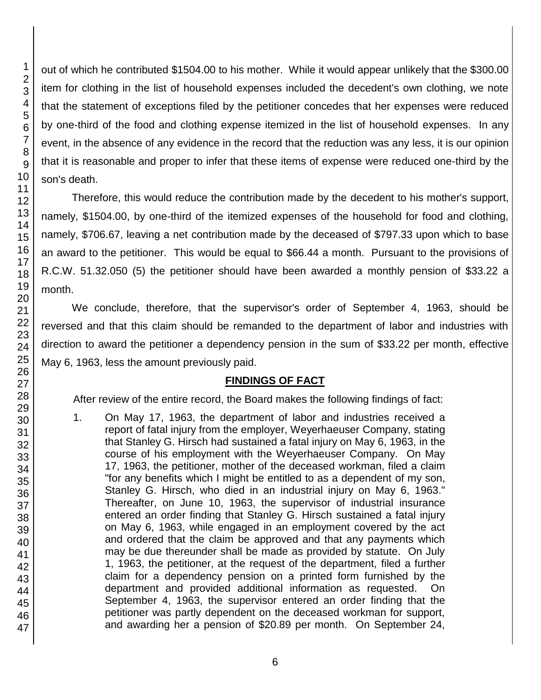out of which he contributed \$1504.00 to his mother. While it would appear unlikely that the \$300.00 item for clothing in the list of household expenses included the decedent's own clothing, we note that the statement of exceptions filed by the petitioner concedes that her expenses were reduced by one-third of the food and clothing expense itemized in the list of household expenses. In any event, in the absence of any evidence in the record that the reduction was any less, it is our opinion that it is reasonable and proper to infer that these items of expense were reduced one-third by the son's death.

Therefore, this would reduce the contribution made by the decedent to his mother's support, namely, \$1504.00, by one-third of the itemized expenses of the household for food and clothing, namely, \$706.67, leaving a net contribution made by the deceased of \$797.33 upon which to base an award to the petitioner. This would be equal to \$66.44 a month. Pursuant to the provisions of R.C.W. 51.32.050 (5) the petitioner should have been awarded a monthly pension of \$33.22 a month.

We conclude, therefore, that the supervisor's order of September 4, 1963, should be reversed and that this claim should be remanded to the department of labor and industries with direction to award the petitioner a dependency pension in the sum of \$33.22 per month, effective May 6, 1963, less the amount previously paid.

# **FINDINGS OF FACT**

After review of the entire record, the Board makes the following findings of fact:

1. On May 17, 1963, the department of labor and industries received a report of fatal injury from the employer, Weyerhaeuser Company, stating that Stanley G. Hirsch had sustained a fatal injury on May 6, 1963, in the course of his employment with the Weyerhaeuser Company. On May 17, 1963, the petitioner, mother of the deceased workman, filed a claim "for any benefits which I might be entitled to as a dependent of my son, Stanley G. Hirsch, who died in an industrial injury on May 6, 1963." Thereafter, on June 10, 1963, the supervisor of industrial insurance entered an order finding that Stanley G. Hirsch sustained a fatal injury on May 6, 1963, while engaged in an employment covered by the act and ordered that the claim be approved and that any payments which may be due thereunder shall be made as provided by statute. On July 1, 1963, the petitioner, at the request of the department, filed a further claim for a dependency pension on a printed form furnished by the department and provided additional information as requested. On September 4, 1963, the supervisor entered an order finding that the petitioner was partly dependent on the deceased workman for support, and awarding her a pension of \$20.89 per month. On September 24,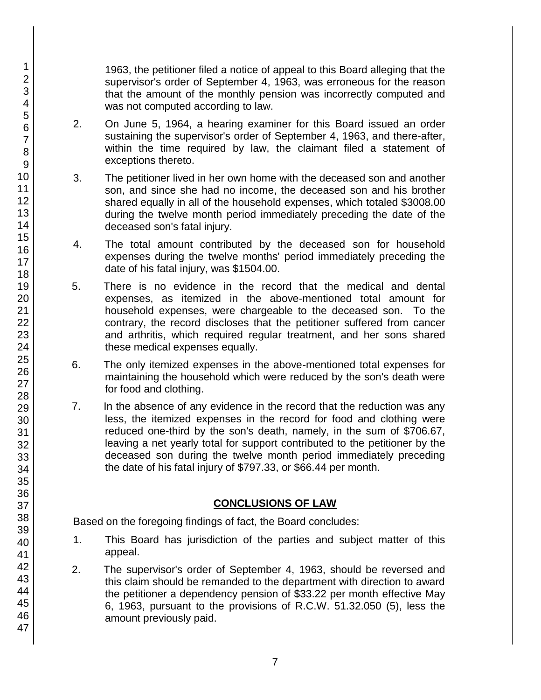1963, the petitioner filed a notice of appeal to this Board alleging that the supervisor's order of September 4, 1963, was erroneous for the reason that the amount of the monthly pension was incorrectly computed and was not computed according to law.

- 2. On June 5, 1964, a hearing examiner for this Board issued an order sustaining the supervisor's order of September 4, 1963, and there-after, within the time required by law, the claimant filed a statement of exceptions thereto.
- 3. The petitioner lived in her own home with the deceased son and another son, and since she had no income, the deceased son and his brother shared equally in all of the household expenses, which totaled \$3008.00 during the twelve month period immediately preceding the date of the deceased son's fatal injury.
- 4. The total amount contributed by the deceased son for household expenses during the twelve months' period immediately preceding the date of his fatal injury, was \$1504.00.
- 5. There is no evidence in the record that the medical and dental expenses, as itemized in the above-mentioned total amount for household expenses, were chargeable to the deceased son. To the contrary, the record discloses that the petitioner suffered from cancer and arthritis, which required regular treatment, and her sons shared these medical expenses equally.
- 6. The only itemized expenses in the above-mentioned total expenses for maintaining the household which were reduced by the son's death were for food and clothing.
- 7. In the absence of any evidence in the record that the reduction was any less, the itemized expenses in the record for food and clothing were reduced one-third by the son's death, namely, in the sum of \$706.67, leaving a net yearly total for support contributed to the petitioner by the deceased son during the twelve month period immediately preceding the date of his fatal injury of \$797.33, or \$66.44 per month.

## **CONCLUSIONS OF LAW**

Based on the foregoing findings of fact, the Board concludes:

- 1. This Board has jurisdiction of the parties and subject matter of this appeal.
- 2. The supervisor's order of September 4, 1963, should be reversed and this claim should be remanded to the department with direction to award the petitioner a dependency pension of \$33.22 per month effective May 6, 1963, pursuant to the provisions of R.C.W. 51.32.050 (5), less the amount previously paid.